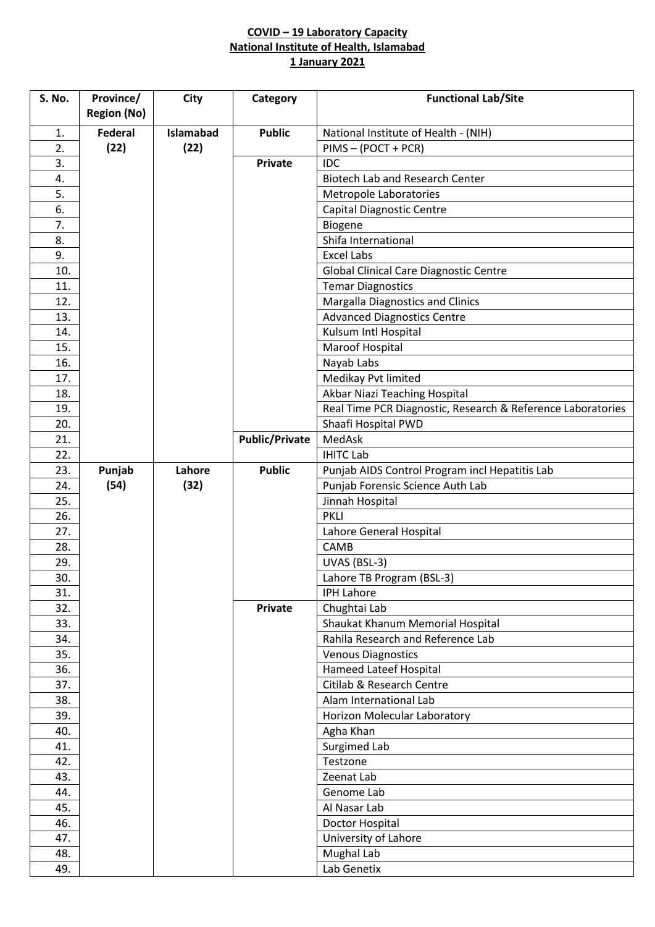## **COVID – 19 Laboratory Capacity National Institute of Health, Islamabad 1 January 2021**

| S. No. | Province/          | City      | Category              | <b>Functional Lab/Site</b>                                  |
|--------|--------------------|-----------|-----------------------|-------------------------------------------------------------|
|        | <b>Region (No)</b> |           |                       |                                                             |
| 1.     | <b>Federal</b>     | Islamabad | <b>Public</b>         | National Institute of Health - (NIH)                        |
| 2.     | (22)               | (22)      |                       | PIMS - (POCT + PCR)                                         |
| 3.     |                    |           | <b>Private</b>        | IDC                                                         |
| 4.     |                    |           |                       | <b>Biotech Lab and Research Center</b>                      |
| 5.     |                    |           |                       | Metropole Laboratories                                      |
| 6.     |                    |           |                       | <b>Capital Diagnostic Centre</b>                            |
| 7.     |                    |           |                       | Biogene                                                     |
| 8.     |                    |           |                       | Shifa International                                         |
| 9.     |                    |           |                       | <b>Excel Labs</b>                                           |
| 10.    |                    |           |                       | Global Clinical Care Diagnostic Centre                      |
| 11.    |                    |           |                       | <b>Temar Diagnostics</b>                                    |
| 12.    |                    |           |                       | Margalla Diagnostics and Clinics                            |
| 13.    |                    |           |                       | <b>Advanced Diagnostics Centre</b>                          |
| 14.    |                    |           |                       | Kulsum Intl Hospital                                        |
| 15.    |                    |           |                       | Maroof Hospital                                             |
| 16.    |                    |           |                       | Nayab Labs                                                  |
| 17.    |                    |           |                       | Medikay Pvt limited                                         |
| 18.    |                    |           |                       | Akbar Niazi Teaching Hospital                               |
| 19.    |                    |           |                       | Real Time PCR Diagnostic, Research & Reference Laboratories |
| 20.    |                    |           |                       | Shaafi Hospital PWD                                         |
| 21.    |                    |           | <b>Public/Private</b> | MedAsk                                                      |
| 22.    |                    |           |                       | <b>IHITC Lab</b>                                            |
| 23.    | Punjab             | Lahore    | <b>Public</b>         | Punjab AIDS Control Program incl Hepatitis Lab              |
| 24.    | (54)               | (32)      |                       | Punjab Forensic Science Auth Lab                            |
| 25.    |                    |           |                       | Jinnah Hospital                                             |
| 26.    |                    |           |                       | <b>PKLI</b>                                                 |
| 27.    |                    |           |                       | Lahore General Hospital                                     |
| 28.    |                    |           |                       | CAMB                                                        |
| 29.    |                    |           |                       | UVAS (BSL-3)                                                |
| 30.    |                    |           |                       | Lahore TB Program (BSL-3)                                   |
| 31.    |                    |           |                       | <b>IPH Lahore</b>                                           |
| 32.    |                    |           | <b>Private</b>        | Chughtai Lab                                                |
| 33.    |                    |           |                       | Shaukat Khanum Memorial Hospital                            |
| 34.    |                    |           |                       | Rahila Research and Reference Lab                           |
| 35.    |                    |           |                       | <b>Venous Diagnostics</b>                                   |
| 36.    |                    |           |                       | <b>Hameed Lateef Hospital</b>                               |
| 37.    |                    |           |                       | Citilab & Research Centre                                   |
| 38.    |                    |           |                       | Alam International Lab                                      |
| 39.    |                    |           |                       | Horizon Molecular Laboratory                                |
| 40.    |                    |           |                       | Agha Khan                                                   |
| 41.    |                    |           |                       | Surgimed Lab                                                |
| 42.    |                    |           |                       | Testzone                                                    |
| 43.    |                    |           |                       | Zeenat Lab                                                  |
| 44.    |                    |           |                       | Genome Lab                                                  |
| 45.    |                    |           |                       | Al Nasar Lab                                                |
| 46.    |                    |           |                       | Doctor Hospital                                             |
| 47.    |                    |           |                       | University of Lahore                                        |
| 48.    |                    |           |                       | Mughal Lab                                                  |
| 49.    |                    |           |                       | Lab Genetix                                                 |
|        |                    |           |                       |                                                             |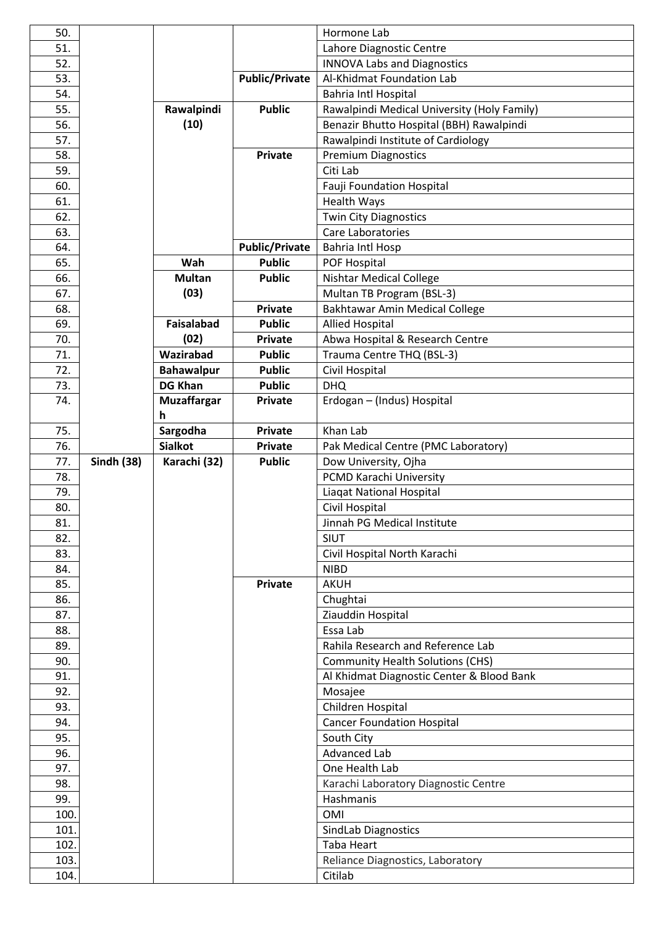| 50.          |                   |                         |                       | Hormone Lab                                 |
|--------------|-------------------|-------------------------|-----------------------|---------------------------------------------|
| 51.          |                   |                         |                       | Lahore Diagnostic Centre                    |
| 52.          |                   |                         |                       | <b>INNOVA Labs and Diagnostics</b>          |
| 53.          |                   |                         | <b>Public/Private</b> | Al-Khidmat Foundation Lab                   |
| 54.          |                   |                         |                       | <b>Bahria Intl Hospital</b>                 |
| 55.          |                   | Rawalpindi              | <b>Public</b>         | Rawalpindi Medical University (Holy Family) |
| 56.          |                   | (10)                    |                       | Benazir Bhutto Hospital (BBH) Rawalpindi    |
| 57.          |                   |                         |                       | Rawalpindi Institute of Cardiology          |
| 58.          |                   |                         | <b>Private</b>        | <b>Premium Diagnostics</b>                  |
| 59.          |                   |                         |                       | Citi Lab                                    |
| 60.          |                   |                         |                       | <b>Fauji Foundation Hospital</b>            |
| 61.          |                   |                         |                       | <b>Health Ways</b>                          |
| 62.          |                   |                         |                       | <b>Twin City Diagnostics</b>                |
| 63.          |                   |                         |                       | Care Laboratories                           |
| 64.          |                   |                         | <b>Public/Private</b> | <b>Bahria Intl Hosp</b>                     |
| 65.          |                   | Wah                     | <b>Public</b>         | POF Hospital                                |
| 66.          |                   | <b>Multan</b>           | <b>Public</b>         |                                             |
|              |                   | (03)                    |                       | <b>Nishtar Medical College</b>              |
| 67.          |                   |                         |                       | Multan TB Program (BSL-3)                   |
| 68.          |                   |                         | <b>Private</b>        | Bakhtawar Amin Medical College              |
| 69.          |                   | <b>Faisalabad</b>       | <b>Public</b>         | <b>Allied Hospital</b>                      |
| 70.          |                   | (02)                    | <b>Private</b>        | Abwa Hospital & Research Centre             |
| 71.          |                   | Wazirabad               | <b>Public</b>         | Trauma Centre THQ (BSL-3)                   |
| 72.          |                   | <b>Bahawalpur</b>       | <b>Public</b>         | Civil Hospital                              |
| 73.          |                   | <b>DG Khan</b>          | <b>Public</b>         | <b>DHQ</b>                                  |
| 74.          |                   | <b>Muzaffargar</b><br>h | Private               | Erdogan - (Indus) Hospital                  |
| 75.          |                   | Sargodha                | <b>Private</b>        | Khan Lab                                    |
| 76.          |                   | <b>Sialkot</b>          | <b>Private</b>        | Pak Medical Centre (PMC Laboratory)         |
|              |                   |                         |                       |                                             |
| 77.          | <b>Sindh (38)</b> | Karachi (32)            | <b>Public</b>         | Dow University, Ojha                        |
| 78.          |                   |                         |                       | PCMD Karachi University                     |
| 79.          |                   |                         |                       | Liagat National Hospital                    |
| 80.          |                   |                         |                       | Civil Hospital                              |
| 81.          |                   |                         |                       | Jinnah PG Medical Institute                 |
| 82.          |                   |                         |                       | <b>SIUT</b>                                 |
| 83.          |                   |                         |                       |                                             |
| 84.          |                   |                         |                       | Civil Hospital North Karachi<br><b>NIBD</b> |
| 85.          |                   |                         | <b>Private</b>        | <b>AKUH</b>                                 |
|              |                   |                         |                       |                                             |
| 86.<br>87.   |                   |                         |                       | Chughtai                                    |
|              |                   |                         |                       | Ziauddin Hospital                           |
| 88.          |                   |                         |                       | Essa Lab                                    |
| 89.          |                   |                         |                       | Rahila Research and Reference Lab           |
| 90.          |                   |                         |                       | <b>Community Health Solutions (CHS)</b>     |
| 91.          |                   |                         |                       | Al Khidmat Diagnostic Center & Blood Bank   |
| 92.          |                   |                         |                       | Mosajee                                     |
| 93.          |                   |                         |                       | Children Hospital                           |
| 94.          |                   |                         |                       | <b>Cancer Foundation Hospital</b>           |
| 95.          |                   |                         |                       | South City                                  |
| 96.          |                   |                         |                       | <b>Advanced Lab</b>                         |
| 97.          |                   |                         |                       | One Health Lab                              |
| 98.          |                   |                         |                       | Karachi Laboratory Diagnostic Centre        |
| 99.          |                   |                         |                       | Hashmanis                                   |
| 100.         |                   |                         |                       | OMI                                         |
| 101.         |                   |                         |                       | <b>SindLab Diagnostics</b>                  |
| 102.         |                   |                         |                       | Taba Heart                                  |
| 103.<br>104. |                   |                         |                       | Reliance Diagnostics, Laboratory<br>Citilab |